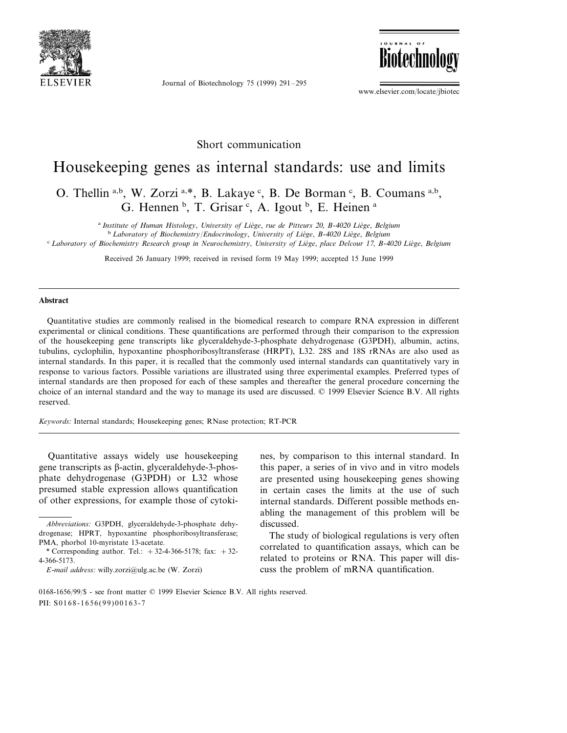

Journal of Biotechnology 75 (1999) 291–295



www.elsevier.com/locate/jbiotec

### Short communication

# Housekeeping genes as internal standards: use and limits

## O. Thellin a,b, W. Zorzi a,\*, B. Lakaye c, B. De Borman c, B. Coumans a,b, G. Hennen <sup>b</sup>, T. Grisar <sup>c</sup>, A. Igout <sup>b</sup>, E. Heinen <sup>a</sup>

<sup>a</sup> Institute of Human Histology, *University of Liège*, *rue de Pitteurs* 20, *B*-4020 *Liège*, *Belgium* <sup>b</sup> Laboratory of Biochemistry/Endocrinology, University of Liège, B-4020 Liège, Belgium <sup>c</sup> *Laboratory of Biochemistry Research group in Neurochemistry*, *Uni*6*ersity of Lie`ge*, *place Delcour* <sup>17</sup>, *B*-<sup>4020</sup> *Lie`ge*, *Belgium*

Received 26 January 1999; received in revised form 19 May 1999; accepted 15 June 1999

#### **Abstract**

Quantitative studies are commonly realised in the biomedical research to compare RNA expression in different experimental or clinical conditions. These quantifications are performed through their comparison to the expression of the housekeeping gene transcripts like glyceraldehyde-3-phosphate dehydrogenase (G3PDH), albumin, actins, tubulins, cyclophilin, hypoxantine phosphoribosyltransferase (HRPT), L32. 28S and 18S rRNAs are also used as internal standards. In this paper, it is recalled that the commonly used internal standards can quantitatively vary in response to various factors. Possible variations are illustrated using three experimental examples. Preferred types of internal standards are then proposed for each of these samples and thereafter the general procedure concerning the choice of an internal standard and the way to manage its used are discussed. © 1999 Elsevier Science B.V. All rights reserved.

*Keywords*: Internal standards; Housekeeping genes; RNase protection; RT-PCR

Quantitative assays widely use housekeeping gene transcripts as  $\beta$ -actin, glyceraldehyde-3-phosphate dehydrogenase (G3PDH) or L32 whose presumed stable expression allows quantification of other expressions, for example those of cytokines, by comparison to this internal standard. In this paper, a series of in vivo and in vitro models are presented using housekeeping genes showing in certain cases the limits at the use of such internal standards. Different possible methods enabling the management of this problem will be discussed.

The study of biological regulations is very often correlated to quantification assays, which can be related to proteins or RNA. This paper will discuss the problem of mRNA quantification.

*Abbre*6*iations*: G3PDH, glyceraldehyde-3-phosphate dehydrogenase; HPRT, hypoxantine phosphoribosyltransferase; PMA, phorbol 10-myristate 13-acetate.

<sup>\*</sup> Corresponding author. Tel.:  $+32-4-366-5178$ ; fax:  $+32-$ 4-366-5173.

*E*-*mail address*: willy.zorzi@ulg.ac.be (W. Zorzi)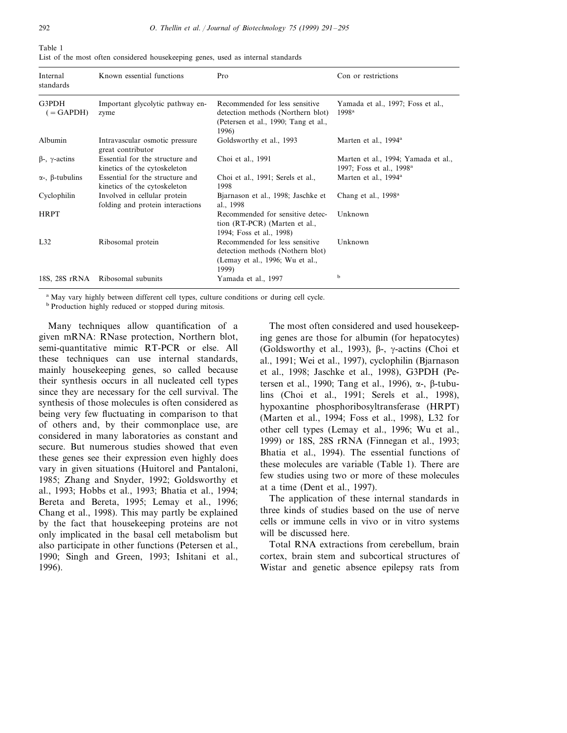| Internal<br>standards         | Known essential functions                                        | Pro                                                                                                                  | Con or restrictions                                                         |
|-------------------------------|------------------------------------------------------------------|----------------------------------------------------------------------------------------------------------------------|-----------------------------------------------------------------------------|
| G3PDH<br>$( = \text{GAPDH})$  | Important glycolytic pathway en-<br>zyme                         | Recommended for less sensitive<br>detection methods (Northern blot)<br>(Petersen et al., 1990; Tang et al.,<br>1996) | Yamada et al., 1997; Foss et al.,<br>1998 <sup>a</sup>                      |
| Albumin                       | Intravascular osmotic pressure<br>great contributor              | Goldsworthy et al., 1993                                                                                             | Marten et al., 1994 <sup>a</sup>                                            |
| $\beta$ -, $\gamma$ -actins   | Essential for the structure and<br>kinetics of the cytoskeleton  | Choi et al., 1991                                                                                                    | Marten et al., 1994; Yamada et al.,<br>1997; Foss et al., 1998 <sup>a</sup> |
| $\alpha$ -, $\beta$ -tubulins | Essential for the structure and<br>kinetics of the cytoskeleton  | Choi et al., 1991; Serels et al.,<br>1998                                                                            | Marten et al., 1994 <sup>a</sup>                                            |
| Cyclophilin                   | Involved in cellular protein<br>folding and protein interactions | Bjarnason et al., 1998; Jaschke et<br>al., 1998                                                                      | Chang et al., 1998 <sup>a</sup>                                             |
| <b>HRPT</b>                   |                                                                  | Recommended for sensitive detec-<br>tion (RT-PCR) (Marten et al.,<br>1994; Foss et al., 1998)                        | Unknown                                                                     |
| L32                           | Ribosomal protein                                                | Recommended for less sensitive<br>detection methods (Nothern blot)<br>(Lemay et al., 1996; Wu et al.,<br>1999)       | Unknown                                                                     |
| 18S, 28S rRNA                 | Ribosomal subunits                                               | Yamada et al., 1997                                                                                                  | b                                                                           |

Table 1 List of the most often considered housekeeping genes, used as internal standards

<sup>a</sup> May vary highly between different cell types, culture conditions or during cell cycle.

<sup>b</sup> Production highly reduced or stopped during mitosis.

Many techniques allow quantification of a given mRNA: RNase protection, Northern blot, semi-quantitative mimic RT-PCR or else. All these techniques can use internal standards, mainly housekeeping genes, so called because their synthesis occurs in all nucleated cell types since they are necessary for the cell survival. The synthesis of those molecules is often considered as being very few fluctuating in comparison to that of others and, by their commonplace use, are considered in many laboratories as constant and secure. But numerous studies showed that even these genes see their expression even highly does vary in given situations (Huitorel and Pantaloni, 1985; Zhang and Snyder, 1992; Goldsworthy et al., 1993; Hobbs et al., 1993; Bhatia et al., 1994; Bereta and Bereta, 1995; Lemay et al., 1996; Chang et al., 1998). This may partly be explained by the fact that housekeeping proteins are not only implicated in the basal cell metabolism but also participate in other functions (Petersen et al., 1990; Singh and Green, 1993; Ishitani et al., 1996).

The most often considered and used housekeeping genes are those for albumin (for hepatocytes) (Goldsworthy et al., 1993),  $\beta$ -,  $\gamma$ -actins (Choi et al., 1991; Wei et al., 1997), cyclophilin (Bjarnason et al., 1998; Jaschke et al., 1998), G3PDH (Petersen et al., 1990; Tang et al., 1996),  $\alpha$ -,  $\beta$ -tubulins (Choi et al., 1991; Serels et al., 1998), hypoxantine phosphoribosyltransferase (HRPT) (Marten et al., 1994; Foss et al., 1998), L32 for other cell types (Lemay et al., 1996; Wu et al., 1999) or 18S, 28S rRNA (Finnegan et al., 1993; Bhatia et al., 1994). The essential functions of these molecules are variable (Table 1). There are few studies using two or more of these molecules at a time (Dent et al., 1997).

The application of these internal standards in three kinds of studies based on the use of nerve cells or immune cells in vivo or in vitro systems will be discussed here.

Total RNA extractions from cerebellum, brain cortex, brain stem and subcortical structures of Wistar and genetic absence epilepsy rats from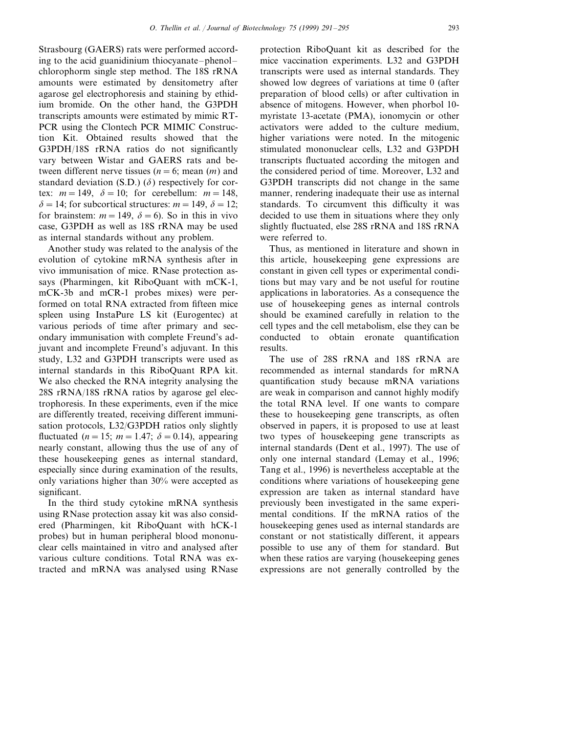Strasbourg (GAERS) rats were performed according to the acid guanidinium thiocyanate–phenol– chlorophorm single step method. The 18S rRNA amounts were estimated by densitometry after agarose gel electrophoresis and staining by ethidium bromide. On the other hand, the G3PDH transcripts amounts were estimated by mimic RT-PCR using the Clontech PCR MIMIC Construction Kit. Obtained results showed that the G3PDH/18S rRNA ratios do not significantly vary between Wistar and GAERS rats and between different nerve tissues ( $n = 6$ ; mean (*m*) and standard deviation (S.D.)  $(\delta)$  respectively for cortex:  $m = 149$ ,  $\delta = 10$ ; for cerebellum:  $m = 148$ ,  $\delta = 14$ ; for subcortical structures: *m* = 149,  $\delta = 12$ ; for brainstem:  $m = 149$ ,  $\delta = 6$ ). So in this in vivo case, G3PDH as well as 18S rRNA may be used as internal standards without any problem.

Another study was related to the analysis of the evolution of cytokine mRNA synthesis after in vivo immunisation of mice. RNase protection assays (Pharmingen, kit RiboQuant with mCK-1, mCK-3b and mCR-1 probes mixes) were performed on total RNA extracted from fifteen mice spleen using InstaPure LS kit (Eurogentec) at various periods of time after primary and secondary immunisation with complete Freund's adjuvant and incomplete Freund's adjuvant. In this study, L32 and G3PDH transcripts were used as internal standards in this RiboQuant RPA kit. We also checked the RNA integrity analysing the 28S rRNA/18S rRNA ratios by agarose gel electrophoresis. In these experiments, even if the mice are differently treated, receiving different immunisation protocols, L32/G3PDH ratios only slightly fluctuated ( $n=15$ ;  $m=1.47$ ;  $\delta=0.14$ ), appearing nearly constant, allowing thus the use of any of these housekeeping genes as internal standard, especially since during examination of the results, only variations higher than 30% were accepted as significant.

In the third study cytokine mRNA synthesis using RNase protection assay kit was also considered (Pharmingen, kit RiboQuant with hCK-1 probes) but in human peripheral blood mononuclear cells maintained in vitro and analysed after various culture conditions. Total RNA was extracted and mRNA was analysed using RNase protection RiboQuant kit as described for the mice vaccination experiments. L32 and G3PDH transcripts were used as internal standards. They showed low degrees of variations at time 0 (after preparation of blood cells) or after cultivation in absence of mitogens. However, when phorbol 10 myristate 13-acetate (PMA), ionomycin or other activators were added to the culture medium, higher variations were noted. In the mitogenic stimulated mononuclear cells, L32 and G3PDH transcripts fluctuated according the mitogen and the considered period of time. Moreover, L32 and G3PDH transcripts did not change in the same manner, rendering inadequate their use as internal standards. To circumvent this difficulty it was decided to use them in situations where they only slightly fluctuated, else 28S rRNA and 18S rRNA were referred to.

Thus, as mentioned in literature and shown in this article, housekeeping gene expressions are constant in given cell types or experimental conditions but may vary and be not useful for routine applications in laboratories. As a consequence the use of housekeeping genes as internal controls should be examined carefully in relation to the cell types and the cell metabolism, else they can be conducted to obtain eronate quantification results.

The use of 28S rRNA and 18S rRNA are recommended as internal standards for mRNA quantification study because mRNA variations are weak in comparison and cannot highly modify the total RNA level. If one wants to compare these to housekeeping gene transcripts, as often observed in papers, it is proposed to use at least two types of housekeeping gene transcripts as internal standards (Dent et al., 1997). The use of only one internal standard (Lemay et al., 1996; Tang et al., 1996) is nevertheless acceptable at the conditions where variations of housekeeping gene expression are taken as internal standard have previously been investigated in the same experimental conditions. If the mRNA ratios of the housekeeping genes used as internal standards are constant or not statistically different, it appears possible to use any of them for standard. But when these ratios are varying (housekeeping genes expressions are not generally controlled by the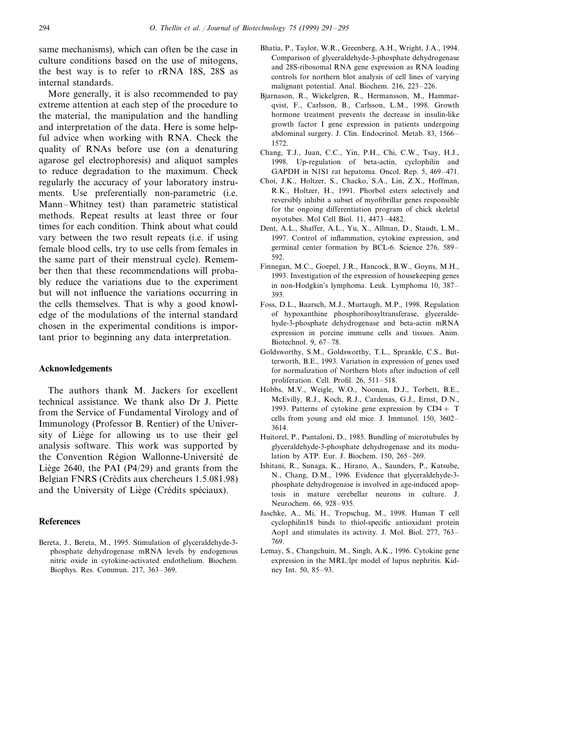same mechanisms), which can often be the case in culture conditions based on the use of mitogens, the best way is to refer to rRNA 18S, 28S as internal standards.

More generally, it is also recommended to pay extreme attention at each step of the procedure to the material, the manipulation and the handling and interpretation of the data. Here is some helpful advice when working with RNA. Check the quality of RNAs before use (on a denaturing agarose gel electrophoresis) and aliquot samples to reduce degradation to the maximum. Check regularly the accuracy of your laboratory instruments. Use preferentially non-parametric (i.e. Mann–Whitney test) than parametric statistical methods. Repeat results at least three or four times for each condition. Think about what could vary between the two result repeats (i.e. if using female blood cells, try to use cells from females in the same part of their menstrual cycle). Remember then that these recommendations will probably reduce the variations due to the experiment but will not influence the variations occurring in the cells themselves. That is why a good knowledge of the modulations of the internal standard chosen in the experimental conditions is important prior to beginning any data interpretation.

#### **Acknowledgements**

The authors thank M. Jackers for excellent technical assistance. We thank also Dr J. Piette from the Service of Fundamental Virology and of Immunology (Professor B. Rentier) of the University of Liège for allowing us to use their gel analysis software. This work was supported by the Convention Région Wallonne-Université de Liège 2640, the PAI (P4/29) and grants from the Belgian FNRS (Crédits aux chercheurs 1.5.081.98) and the University of Liège (Crédits spéciaux).

#### **References**

Bereta, J., Bereta, M., 1995. Stimulation of glyceraldehyde-3 phosphate dehydrogenase mRNA levels by endogenous nitric oxide in cytokine-activated endothelium. Biochem. Biophys. Res. Commun. 217, 363–369.

- Bhatia, P., Taylor, W.R., Greenberg, A.H., Wright, J.A., 1994. Comparison of glyceraldehyde-3-phosphate dehydrogenase and 28S-ribosomal RNA gene expression as RNA loading controls for northern blot analysis of cell lines of varying malignant potential. Anal. Biochem. 216, 223–226.
- Bjarnason, R., Wickelgren, R., Hermansson, M., Hammarqvist, F., Carlsson, B., Carlsson, L.M., 1998. Growth hormone treatment prevents the decrease in insulin-like growth factor I gene expression in patients undergoing abdominal surgery. J. Clin. Endocrinol. Metab. 83, 1566– 1572.
- Chang, T.J., Juan, C.C., Yin, P.H., Chi, C.W., Tsay, H.J., 1998. Up-regulation of beta-actin, cyclophilin and GAPDH in N1S1 rat hepatoma. Oncol. Rep. 5, 469–471.
- Choi, J.K., Holtzer, S., Chacko, S.A., Lin, Z.X., Hoffman, R.K., Holtzer, H., 1991. Phorbol esters selectively and reversibly inhibit a subset of myofibrillar genes responsible for the ongoing differentiation program of chick skeletal myotubes. Mol Cell Biol. 11, 4473–4482.
- Dent, A.L., Shaffer, A.L., Yu, X., Allman, D., Staudt, L.M., 1997. Control of inflammation, cytokine expression, and germinal center formation by BCL-6. Science 276, 589– 592.
- Finnegan, M.C., Goepel, J.R., Hancock, B.W., Goyns, M.H., 1993. Investigation of the expression of housekeeping genes in non-Hodgkin's lymphoma. Leuk. Lymphoma 10, 387– 393.
- Foss, D.L., Baarsch, M.J., Murtaugh, M.P., 1998. Regulation of hypoxanthine phosphoribosyltransferase, glyceraldehyde-3-phosphate dehydrogenase and beta-actin mRNA expression in porcine immune cells and tissues. Anim. Biotechnol. 9, 67–78.
- Goldsworthy, S.M., Goldsworthy, T.L., Sprankle, C.S., Butterworth, B.E., 1993. Variation in expression of genes used for normalization of Northern blots after induction of cell proliferation. Cell. Profil. 26, 511–518.
- Hobbs, M.V., Weigle, W.O., Noonan, D.J., Torbett, B.E., McEvilly, R.J., Koch, R.J., Cardenas, G.J., Ernst, D.N., 1993. Patterns of cytokine gene expression by  $CD4 + T$ cells from young and old mice. J. Immunol. 150, 3602– 3614.
- Huitorel, P., Pantaloni, D., 1985. Bundling of microtubules by glyceraldehyde-3-phosphate dehydrogenase and its modulation by ATP. Eur. J. Biochem. 150, 265–269.
- Ishitani, R., Sunaga, K., Hirano, A., Saunders, P., Katsube, N., Chang, D.M., 1996. Evidence that glyceraldehyde-3 phosphate dehydrogenase is involved in age-induced apoptosis in mature cerebellar neurons in culture. J. Neurochem. 66, 928–935.
- Jaschke, A., Mi, H., Tropschug, M., 1998. Human T cell cyclophilin18 binds to thiol-specific antioxidant protein Aop1 and stimulates its activity. J. Mol. Biol. 277, 763– 769.
- Lemay, S., Changchuin, M., Singh, A.K., 1996. Cytokine gene expression in the MRL/lpr model of lupus nephritis. Kidney Int. 50, 85–93.